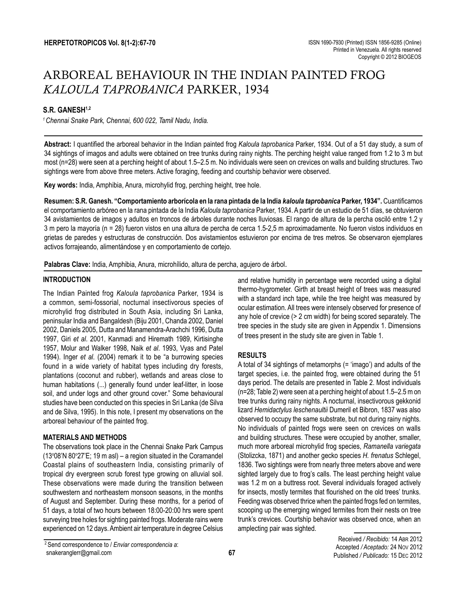# ARBOREAL BEHAVIOUR IN THE INDIAN PAINTED FROG *KALOULA TAPROBANICA* PARKER, 1934

# **S.R. GANESH1,2**

*1 Chennai Snake Park, Chennai, 600 022, Tamil Nadu, India.*

**Abstract:** I quantified the arboreal behavior in the Indian painted frog *Kaloula taprobanica* Parker, 1934. Out of a 51 day study, a sum of 34 sightings of imagos and adults were obtained on tree trunks during rainy nights. The perching height value ranged from 1.2 to 3 m but most (n=28) were seen at a perching height of about 1.5–2.5 m. No individuals were seen on crevices on walls and building structures. Two sightings were from above three meters. Active foraging, feeding and courtship behavior were observed.

**Key words:** India, Amphibia, Anura, microhylid frog, perching height, tree hole.

**Resumen: S.R. Ganesh. "Comportamiento arborícola en la rana pintada de la India** *kaloula taprobanica* **Parker, 1934".** Cuantificamos el comportamiento arbóreo en la rana pintada de la India *Kaloula taprobanica* Parker, 1934. A partir de un estudio de 51 días, se obtuvieron 34 avistamientos de imagos y adultos en troncos de árboles durante noches lluviosas. El rango de altura de la percha osciló entre 1.2 y 3 m pero la mayoría (n = 28) fueron vistos en una altura de percha de cerca 1.5-2,5 m aproximadamente. No fueron vistos individuos en grietas de paredes y estructuras de construcción. Dos avistamientos estuvieron por encima de tres metros. Se observaron ejemplares activos forrajeando, alimentándose y en comportamiento de cortejo.

**Palabras Clave:** India, Amphibia, Anura, microhílido, altura de percha, agujero de árbol.

## **INTRODUCTION**

The Indian Painted frog *Kaloula taprobanica* Parker, 1934 is a common, semi-fossorial, nocturnal insectivorous species of microhylid frog distributed in South Asia, including Sri Lanka, peninsular India and Bangaldesh (Biju 2001, Chanda 2002, Daniel 2002, Daniels 2005, Dutta and Manamendra-Arachchi 1996, Dutta 1997, Giri *et al*. 2001, Kanmadi and Hiremath 1989, Kirtisinghe 1957, Molur and Walker 1998, Naik *et al*. 1993, Vyas and Patel 1994). Inger *et al*. (2004) remark it to be "a burrowing species found in a wide variety of habitat types including dry forests, plantations (coconut and rubber), wetlands and areas close to human habitations (...) generally found under leaf-litter, in loose soil, and under logs and other ground cover." Some behavioural studies have been conducted on this species in Sri Lanka (de Silva and de Silva, 1995). In this note, I present my observations on the arboreal behaviour of the painted frog.

## **MATERIALS AND METHODS**

The observations took place in the Chennai Snake Park Campus (13°08'N 80°27'E; 19 m asl) – a region situated in the Coramandel Coastal plains of southeastern India, consisting primarily of tropical dry evergreen scrub forest type growing on alluvial soil. These observations were made during the transition between southwestern and northeastern monsoon seasons, in the months of August and September. During these months, for a period of 51 days, a total of two hours between 18:00-20:00 hrs were spent surveying tree holes for sighting painted frogs. Moderate rains were experienced on 12 days. Ambient air temperature in degree Celsius and relative humidity in percentage were recorded using a digital thermo-hygrometer. Girth at breast height of trees was measured with a standard inch tape, while the tree height was measured by ocular estimation. All trees were intensely observed for presence of any hole of crevice (> 2 cm width) for being scored separately. The tree species in the study site are given in Appendix 1. Dimensions of trees present in the study site are given in Table 1.

# **RESULTS**

A total of 34 sightings of metamorphs (= 'imago') and adults of the target species, i.e. the painted frog, were obtained during the 51 days period. The details are presented in Table 2. Most individuals (n=28; Table 2) were seen at a perching height of about 1.5–2.5 m on tree trunks during rainy nights. A nocturnal, insectivorous gekkonid lizard *Hemidactylus leschenaultii* Dumeril et Bibron, 1837 was also observed to occupy the same substrate, but not during rainy nights. No individuals of painted frogs were seen on crevices on walls and building structures. These were occupied by another, smaller, much more arboreal microhylid frog species, *Ramanella variegata* (Stolizcka, 1871) and another gecko species *H. frenatus* Schlegel, 1836. Two sightings were from nearly three meters above and were sighted largely due to frog's calls. The least perching height value was 1.2 m on a buttress root. Several individuals foraged actively for insects, mostly termites that flourished on the old trees' trunks. Feeding was observed thrice when the painted frogs fed on termites, scooping up the emerging winged termites from their nests on tree trunk's crevices. Courtship behavior was observed once, when an amplecting pair was sighted.

<sup>2</sup> Send correspondence to / *Enviar correspondencia a*: snakeranglerr@gmail.com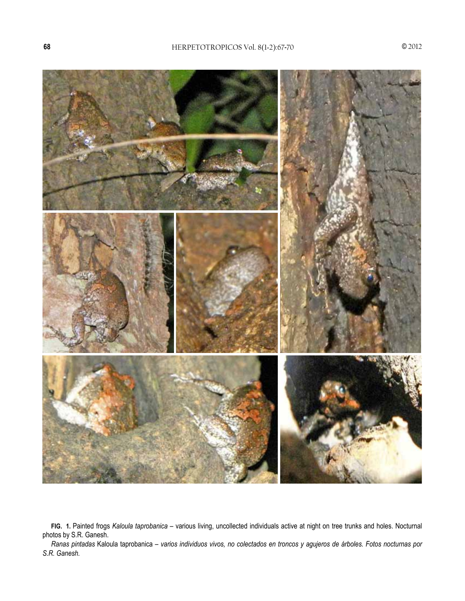

**FIG. 1.** Painted frogs *Kaloula taprobanica* – various living, uncollected individuals active at night on tree trunks and holes. Nocturnal photos by S.R. Ganesh.

*Ranas pintadas* Kaloula taprobanica *– varios individuos vivos, no colectados en troncos y agujeros de árboles. Fotos nocturnas por S.R. Ganesh.*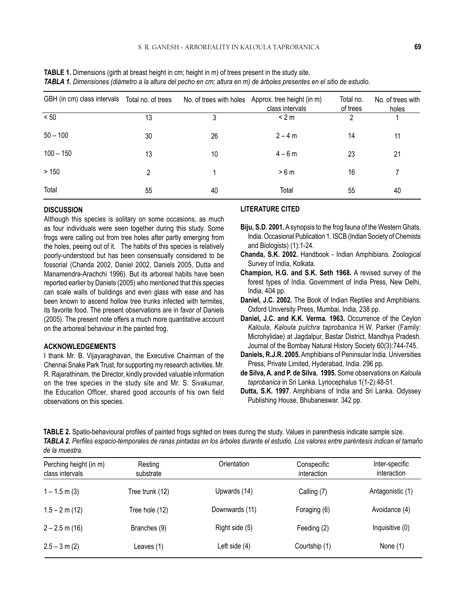| GBH (in cm) class intervals | Total no. of trees |    | No. of trees with holes Approx. tree height (in m)<br>class intervals | Total no.<br>of trees | No. of trees with<br>holes |
|-----------------------------|--------------------|----|-----------------------------------------------------------------------|-----------------------|----------------------------|
| < 50                        | 13                 | 3  | < 2 m                                                                 | 2                     |                            |
| $50 - 100$                  | 30                 | 26 | $2 - 4 m$                                                             | 14                    | 11                         |
| $100 - 150$                 | 13                 | 10 | $4 - 6 m$                                                             | 23                    | 21                         |
| >150                        | 2                  |    | >6m                                                                   | 16                    |                            |
| Total                       | 55                 | 40 | Total                                                                 | 55                    | 40                         |

**TABLE 1.** Dimensions (girth at breast height in cm; height in m) of trees present in the study site. *TABLA 1. Dimensiones (diámetro a la altura del pecho en cm; altura en m) de árboles presentes en el sitio de estudio.*

#### **DISCUSSION**

Although this species is solitary on some occasions, as much as four individuals were seen together during this study. Some frogs were calling out from tree holes after partly emerging from the holes, peeing out of it. The habits of this species is relatively poorly-understood but has been consensually considered to be fossorial (Chanda 2002, Daniel 2002, Daniels 2005, Dutta and Manamendra-Arachchi 1996). But its arboreal habits have been reported earlier by Daniels (2005) who mentioned that this species can scale walls of buildings and even glass with ease and has been known to ascend hollow tree trunks infected with termites, its favorite food. The present observations are in favor of Daniels (2005). The present note offers a much more quantitative account on the arboreal behaviour in the painted frog.

#### **ACKNOWLEDGEMENTS**

I thank Mr. B. Vijayaraghavan, the Executive Chairman of the Chennai Snake Park Trust, for supporting my research activities. Mr. R. Rajarathinam, the Director, kindly provided valuable information on the tree species in the study site and Mr. S. Sivakumar, the Education Officer, shared good accounts of his own field observations on this species.

### **LITERATURE CITED**

- **Biju, S.D. 2001.** A synopsis to the frog fauna of the Western Ghats, India. Occasional Publication 1. ISCB (Indian Society of Chemists and Biologists) (1):1-24.
- **Chanda, S.K. 2002.** Handbook Indian Amphibians. Zoological Survey of India, Kolkata.
- **Champion, H.G. and S.K. Seth 1968.** A revised survey of the forest types of India. Government of India Press, New Delhi, India, 404 pp.
- **Daniel, J.C. 2002.** The Book of Indian Reptiles and Amphibians. Oxford University Press, Mumbai, India, 238 pp.
- **Daniel, J.C. and K.K. Verma. 1963.** Occurrence of the Ceylon *Kaloula*, *Kaloula pulchra taprobanica* H.W. Parker (Family: Microhylidae) at Jagdalpur, Bastar District, Mandhya Pradesh. Journal of the Bombay Natural History Society 60(3):744-745.
- **Daniels, R.J.R. 2005.** Amphibians of Peninsular India. Universities Press, Private Limited, Hyderabad, India. 296 pp.
- **de Silva, A. and P. de Silva. 1995.** Some observations on *Kaloula taprobanica* in Sri Lanka. Lyriocephalus 1(1-2):48-51.
- **Dutta, S.K. 1997**. Amphibians of India and Sri Lanka. Odyssey Publishing House, Bhubaneswar. 342 pp.

**TABLE 2.** Spatio-behavioural profiles of painted frogs sighted on trees during the study. Values in parenthesis indicate sample size. *TABLA 2. Perfiles espacio-temporales de ranas pintadas en los árboles durante el estudio. Los valores entre paréntesis indican el tamaño de la muestra.*

| Perching height (in m)<br>class intervals | Resting<br>substrate | Orientation    | Conspecific<br>interaction | Inter-specific<br><i>interaction</i> |
|-------------------------------------------|----------------------|----------------|----------------------------|--------------------------------------|
| $1 - 1.5$ m (3)                           | Tree trunk (12)      | Upwards (14)   | Calling (7)                | Antagonistic (1)                     |
| $1.5 - 2$ m (12)                          | Tree hole (12)       | Downwards (11) | Foraging (6)               | Avoidance (4)                        |
| $2 - 2.5$ m (16)                          | Branches (9)         | Right side (5) | Feeding (2)                | Inquisitive (0)                      |
| $2.5 - 3$ m (2)                           | Leaves (1)           | Left side (4)  | Courtship (1)              | None (1)                             |